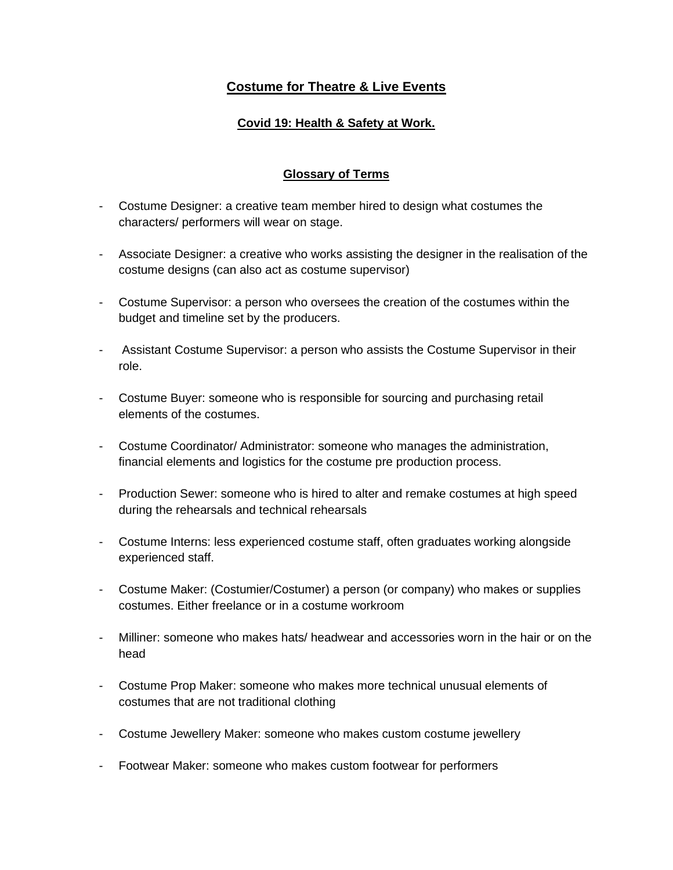# **Costume for Theatre & Live Events**

## **Covid 19: Health & Safety at Work.**

### **Glossary of Terms**

- Costume Designer: a creative team member hired to design what costumes the characters/ performers will wear on stage.
- Associate Designer: a creative who works assisting the designer in the realisation of the costume designs (can also act as costume supervisor)
- Costume Supervisor: a person who oversees the creation of the costumes within the budget and timeline set by the producers.
- Assistant Costume Supervisor: a person who assists the Costume Supervisor in their role.
- Costume Buyer: someone who is responsible for sourcing and purchasing retail elements of the costumes.
- Costume Coordinator/ Administrator: someone who manages the administration, financial elements and logistics for the costume pre production process.
- Production Sewer: someone who is hired to alter and remake costumes at high speed during the rehearsals and technical rehearsals
- Costume Interns: less experienced costume staff, often graduates working alongside experienced staff.
- Costume Maker: (Costumier/Costumer) a person (or company) who makes or supplies costumes. Either freelance or in a costume workroom
- Milliner: someone who makes hats/ headwear and accessories worn in the hair or on the head
- Costume Prop Maker: someone who makes more technical unusual elements of costumes that are not traditional clothing
- Costume Jewellery Maker: someone who makes custom costume jewellery
- Footwear Maker: someone who makes custom footwear for performers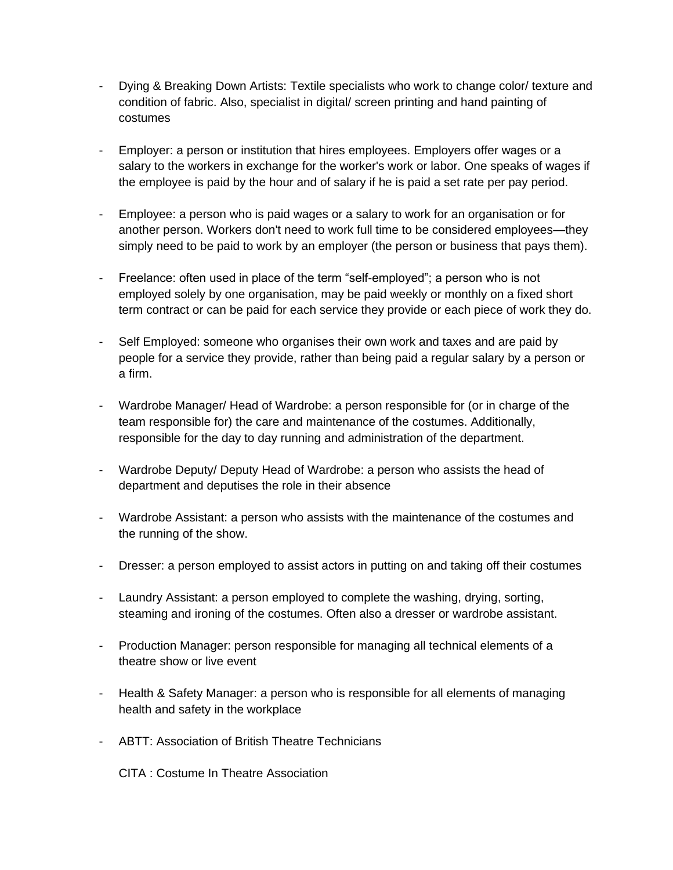- Dying & Breaking Down Artists: Textile specialists who work to change color/ texture and condition of fabric. Also, specialist in digital/ screen printing and hand painting of costumes
- Employer: a person or institution that hires employees. Employers offer wages or a salary to the workers in exchange for the worker's work or labor. One speaks of wages if the employee is paid by the hour and of salary if he is paid a set rate per pay period.
- Employee: a person who is paid wages or a salary to work for an organisation or for another person. Workers don't need to work full time to be considered employees—they simply need to be paid to work by an employer (the person or business that pays them).
- Freelance: often used in place of the term "self-employed"; a person who is not employed solely by one organisation, may be paid weekly or monthly on a fixed short term contract or can be paid for each service they provide or each piece of work they do.
- Self Employed: someone who organises their own work and taxes and are paid by people for a service they provide, rather than being paid a regular salary by a person or a firm.
- Wardrobe Manager/ Head of Wardrobe: a person responsible for (or in charge of the team responsible for) the care and maintenance of the costumes. Additionally, responsible for the day to day running and administration of the department.
- Wardrobe Deputy/ Deputy Head of Wardrobe: a person who assists the head of department and deputises the role in their absence
- Wardrobe Assistant: a person who assists with the maintenance of the costumes and the running of the show.
- Dresser: a person employed to assist actors in putting on and taking off their costumes
- Laundry Assistant: a person employed to complete the washing, drying, sorting, steaming and ironing of the costumes. Often also a dresser or wardrobe assistant.
- Production Manager: person responsible for managing all technical elements of a theatre show or live event
- Health & Safety Manager: a person who is responsible for all elements of managing health and safety in the workplace
- ABTT: Association of British Theatre Technicians

CITA : Costume In Theatre Association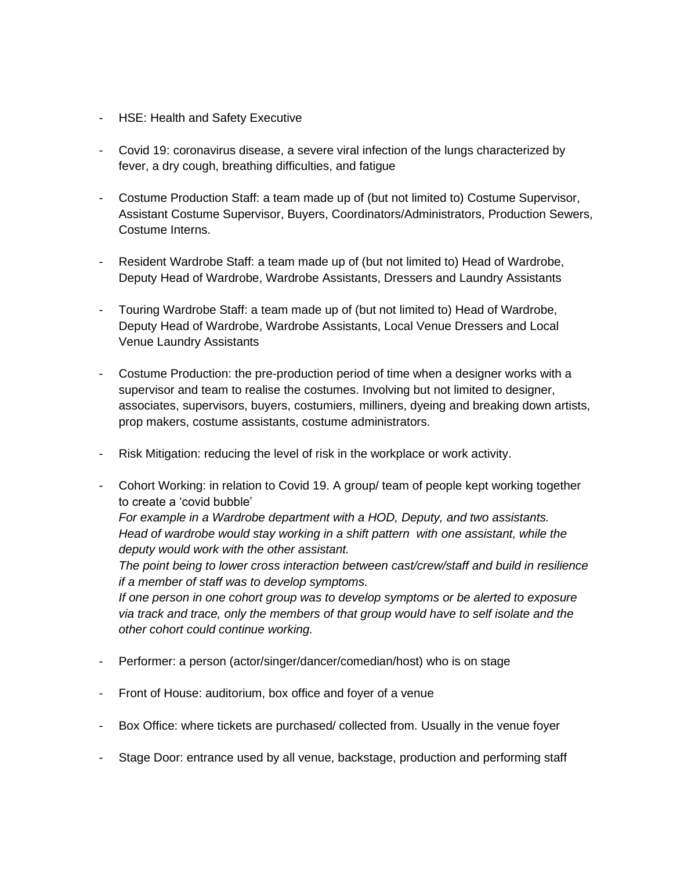- HSE: Health and Safety Executive
- Covid 19: coronavirus disease, a severe viral infection of the lungs characterized by fever, a dry cough, breathing difficulties, and fatigue
- Costume Production Staff: a team made up of (but not limited to) Costume Supervisor, Assistant Costume Supervisor, Buyers, Coordinators/Administrators, Production Sewers, Costume Interns.
- Resident Wardrobe Staff: a team made up of (but not limited to) Head of Wardrobe, Deputy Head of Wardrobe, Wardrobe Assistants, Dressers and Laundry Assistants
- Touring Wardrobe Staff: a team made up of (but not limited to) Head of Wardrobe, Deputy Head of Wardrobe, Wardrobe Assistants, Local Venue Dressers and Local Venue Laundry Assistants
- Costume Production: the pre-production period of time when a designer works with a supervisor and team to realise the costumes. Involving but not limited to designer, associates, supervisors, buyers, costumiers, milliners, dyeing and breaking down artists, prop makers, costume assistants, costume administrators.
- Risk Mitigation: reducing the level of risk in the workplace or work activity.
- Cohort Working: in relation to Covid 19. A group/ team of people kept working together to create a 'covid bubble' *For example in a Wardrobe department with a HOD, Deputy, and two assistants. Head of wardrobe would stay working in a shift pattern with one assistant, while the deputy would work with the other assistant. The point being to lower cross interaction between cast/crew/staff and build in resilience if a member of staff was to develop symptoms.*

*If one person in one cohort group was to develop symptoms or be alerted to exposure via track and trace, only the members of that group would have to self isolate and the other cohort could continue working.*

- Performer: a person (actor/singer/dancer/comedian/host) who is on stage
- Front of House: auditorium, box office and foyer of a venue
- Box Office: where tickets are purchased/ collected from. Usually in the venue foyer
- Stage Door: entrance used by all venue, backstage, production and performing staff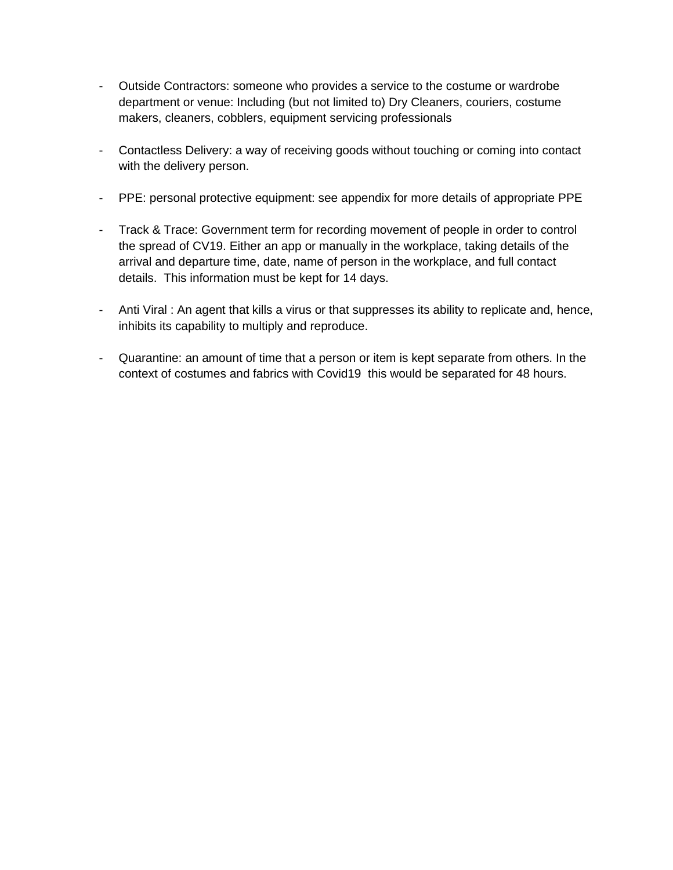- Outside Contractors: someone who provides a service to the costume or wardrobe department or venue: Including (but not limited to) Dry Cleaners, couriers, costume makers, cleaners, cobblers, equipment servicing professionals
- Contactless Delivery: a way of receiving goods without touching or coming into contact with the delivery person.
- PPE: personal protective equipment: see appendix for more details of appropriate PPE
- Track & Trace: Government term for recording movement of people in order to control the spread of CV19. Either an app or manually in the workplace, taking details of the arrival and departure time, date, name of person in the workplace, and full contact details. This information must be kept for 14 days.
- Anti Viral : An agent that kills a virus or that suppresses its ability to replicate and, hence, inhibits its capability to multiply and reproduce.
- Quarantine: an amount of time that a person or item is kept separate from others. In the context of costumes and fabrics with Covid19 this would be separated for 48 hours.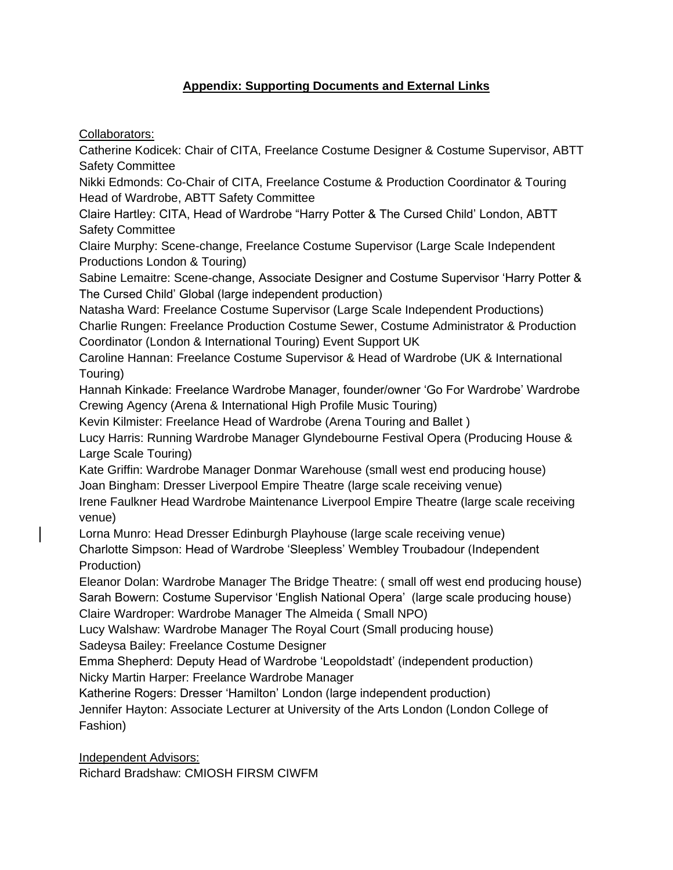## **Appendix: Supporting Documents and External Links**

Collaborators:

Catherine Kodicek: Chair of CITA, Freelance Costume Designer & Costume Supervisor, ABTT Safety Committee

Nikki Edmonds: Co-Chair of CITA, Freelance Costume & Production Coordinator & Touring Head of Wardrobe, ABTT Safety Committee

Claire Hartley: CITA, Head of Wardrobe "Harry Potter & The Cursed Child' London, ABTT Safety Committee

Claire Murphy: Scene-change, Freelance Costume Supervisor (Large Scale Independent Productions London & Touring)

Sabine Lemaitre: Scene-change, Associate Designer and Costume Supervisor 'Harry Potter & The Cursed Child' Global (large independent production)

Natasha Ward: Freelance Costume Supervisor (Large Scale Independent Productions) Charlie Rungen: Freelance Production Costume Sewer, Costume Administrator & Production Coordinator (London & International Touring) Event Support UK

Caroline Hannan: Freelance Costume Supervisor & Head of Wardrobe (UK & International Touring)

Hannah Kinkade: Freelance Wardrobe Manager, founder/owner 'Go For Wardrobe' Wardrobe Crewing Agency (Arena & International High Profile Music Touring)

Kevin Kilmister: Freelance Head of Wardrobe (Arena Touring and Ballet )

Lucy Harris: Running Wardrobe Manager Glyndebourne Festival Opera (Producing House & Large Scale Touring)

Kate Griffin: Wardrobe Manager Donmar Warehouse (small west end producing house) Joan Bingham: Dresser Liverpool Empire Theatre (large scale receiving venue)

Irene Faulkner Head Wardrobe Maintenance Liverpool Empire Theatre (large scale receiving venue)

Lorna Munro: Head Dresser Edinburgh Playhouse (large scale receiving venue)

Charlotte Simpson: Head of Wardrobe 'Sleepless' Wembley Troubadour (Independent Production)

Eleanor Dolan: Wardrobe Manager The Bridge Theatre: ( small off west end producing house) Sarah Bowern: Costume Supervisor 'English National Opera' (large scale producing house) Claire Wardroper: Wardrobe Manager The Almeida ( Small NPO)

Lucy Walshaw: Wardrobe Manager The Royal Court (Small producing house)

Sadeysa Bailey: Freelance Costume Designer

Emma Shepherd: Deputy Head of Wardrobe 'Leopoldstadt' (independent production) Nicky Martin Harper: Freelance Wardrobe Manager

Katherine Rogers: Dresser 'Hamilton' London (large independent production)

Jennifer Hayton: Associate Lecturer at University of the Arts London (London College of Fashion)

Independent Advisors:

Richard Bradshaw: CMIOSH FIRSM CIWFM